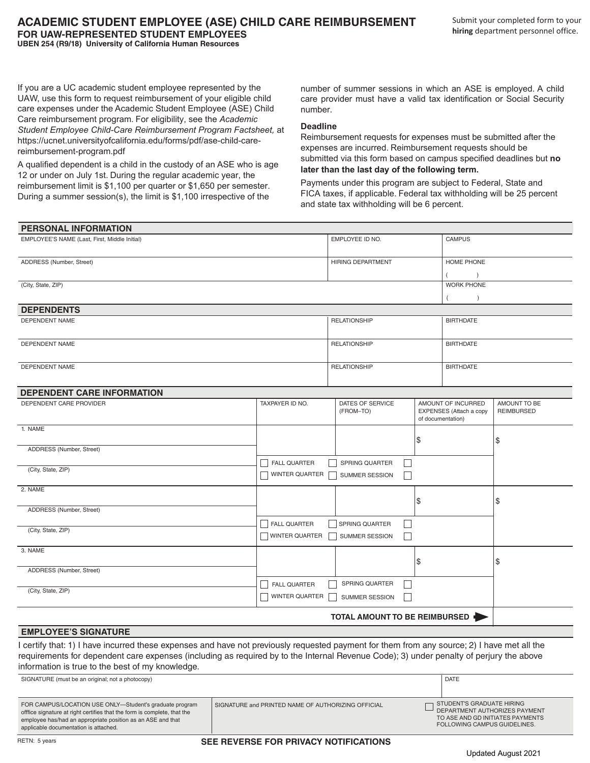If you are a UC academic student employee represented by the UAW, use this form to request reimbursement of your eligible child care expenses under the Academic Student Employee (ASE) Child Care reimbursement program. For eligibility, see the *Academic Student Employee Child-Care Reimbursement Program Factsheet,* at https://ucnet.universityofcalifornia.edu/forms/pdf/ase-child-carereimbursement-program.pdf

A qualified dependent is a child in the custody of an ASE who is age 12 or under on July 1st. During the regular academic year, the reimbursement limit is \$1,100 per quarter or \$1,650 per semester. During a summer session(s), the limit is \$1,100 irrespective of the

number of summer sessions in which an ASE is employed. A child care provider must have a valid tax identification or Social Security number.

## **Deadline**

Reimbursement requests for expenses must be submitted after the expenses are incurred. Reimbursement requests should be submitted via this form based on campus specified deadlines but **no later than the last day of the following term.** 

Payments under this program are subject to Federal, State and FICA taxes, if applicable. Federal tax withholding will be 25 percent and state tax withholding will be 6 percent.

| EMPLOYEE'S NAME (Last, First, Middle Initial)                                                                                                                                                                                                                                                                                              |                                                    | EMPLOYEE ID NO.                                                        |                                                                    | <b>CAMPUS</b>                                             |                                                                   |
|--------------------------------------------------------------------------------------------------------------------------------------------------------------------------------------------------------------------------------------------------------------------------------------------------------------------------------------------|----------------------------------------------------|------------------------------------------------------------------------|--------------------------------------------------------------------|-----------------------------------------------------------|-------------------------------------------------------------------|
| ADDRESS (Number, Street)<br>(City, State, ZIP)                                                                                                                                                                                                                                                                                             |                                                    | HIRING DEPARTMENT                                                      |                                                                    | <b>HOME PHONE</b>                                         |                                                                   |
|                                                                                                                                                                                                                                                                                                                                            |                                                    |                                                                        |                                                                    |                                                           |                                                                   |
|                                                                                                                                                                                                                                                                                                                                            |                                                    |                                                                        |                                                                    | <b>WORK PHONE</b>                                         |                                                                   |
|                                                                                                                                                                                                                                                                                                                                            |                                                    |                                                                        |                                                                    |                                                           |                                                                   |
| <b>DEPENDENTS</b>                                                                                                                                                                                                                                                                                                                          |                                                    |                                                                        |                                                                    |                                                           |                                                                   |
| <b>DEPENDENT NAME</b>                                                                                                                                                                                                                                                                                                                      |                                                    | <b>RELATIONSHIP</b><br><b>BIRTHDATE</b>                                |                                                                    |                                                           |                                                                   |
| <b>DEPENDENT NAME</b>                                                                                                                                                                                                                                                                                                                      |                                                    | <b>RELATIONSHIP</b>                                                    |                                                                    | <b>BIRTHDATE</b>                                          |                                                                   |
| <b>DEPENDENT NAME</b>                                                                                                                                                                                                                                                                                                                      |                                                    | <b>RELATIONSHIP</b><br><b>BIRTHDATE</b>                                |                                                                    |                                                           |                                                                   |
| <b>DEPENDENT CARE INFORMATION</b>                                                                                                                                                                                                                                                                                                          |                                                    |                                                                        |                                                                    |                                                           |                                                                   |
| DEPENDENT CARE PROVIDER                                                                                                                                                                                                                                                                                                                    | TAXPAYER ID NO.                                    | DATES OF SERVICE<br>(FROM-TO)                                          | AMOUNT OF INCURRED<br>EXPENSES (Attach a copy<br>of documentation) |                                                           | AMOUNT TO BE<br><b>REIMBURSED</b>                                 |
| 1. NAME                                                                                                                                                                                                                                                                                                                                    |                                                    |                                                                        | \$                                                                 |                                                           | \$                                                                |
| ADDRESS (Number, Street)                                                                                                                                                                                                                                                                                                                   |                                                    |                                                                        |                                                                    |                                                           |                                                                   |
| (City, State, ZIP)                                                                                                                                                                                                                                                                                                                         | <b>FALL QUARTER</b><br>WINTER QUARTER              | $\Box$<br>SPRING QUARTER<br>$\blacksquare$<br>$\Box$<br>SUMMER SESSION |                                                                    |                                                           |                                                                   |
| 2. NAME                                                                                                                                                                                                                                                                                                                                    |                                                    |                                                                        | \$                                                                 |                                                           | \$                                                                |
| ADDRESS (Number, Street)                                                                                                                                                                                                                                                                                                                   |                                                    |                                                                        |                                                                    |                                                           |                                                                   |
| (City, State, ZIP)                                                                                                                                                                                                                                                                                                                         | <b>FALL QUARTER</b><br>WINTER QUARTER              | $\Box$<br>SPRING QUARTER<br>  SUMMER SESSION<br>П                      |                                                                    |                                                           |                                                                   |
| 3. NAME                                                                                                                                                                                                                                                                                                                                    |                                                    |                                                                        | \$                                                                 |                                                           | \$                                                                |
| ADDRESS (Number, Street)                                                                                                                                                                                                                                                                                                                   |                                                    |                                                                        |                                                                    |                                                           |                                                                   |
| (City, State, ZIP)                                                                                                                                                                                                                                                                                                                         | <b>FALL QUARTER</b><br>WINTER QUARTER              | SPRING QUARTER<br>$\vert \ \ \vert$<br>$\mathbf{L}$<br>SUMMER SESSION  |                                                                    |                                                           |                                                                   |
| TOTAL AMOUNT TO BE REIMBURSED                                                                                                                                                                                                                                                                                                              |                                                    |                                                                        |                                                                    |                                                           |                                                                   |
| <b>EMPLOYEE'S SIGNATURE</b>                                                                                                                                                                                                                                                                                                                |                                                    |                                                                        |                                                                    |                                                           |                                                                   |
| I certify that: 1) I have incurred these expenses and have not previously requested payment for them from any source; 2) I have met all the<br>requirements for dependent care expenses (including as required by to the Internal Revenue Code); 3) under penalty of perjury the above<br>information is true to the best of my knowledge. |                                                    |                                                                        |                                                                    |                                                           |                                                                   |
| SIGNATURE (must be an original; not a photocopy)                                                                                                                                                                                                                                                                                           |                                                    |                                                                        |                                                                    | <b>DATE</b>                                               |                                                                   |
| FOR CAMPUS/LOCATION USE ONLY-Student's graduate program<br>offfice signature at right certifies that the form is complete, that the<br>employee has/had an appropriate position as an ASE and that<br>applicable documentation is attached.                                                                                                | SIGNATURE and PRINTED NAME OF AUTHORIZING OFFICIAL |                                                                        |                                                                    | STUDENT'S GRADUATE HIRING<br>FOLLOWING CAMPUS GUIDELINES. | DEPARTMENT AUTHORIZES PAYMENT<br>TO ASE AND GD INITIATES PAYMENTS |